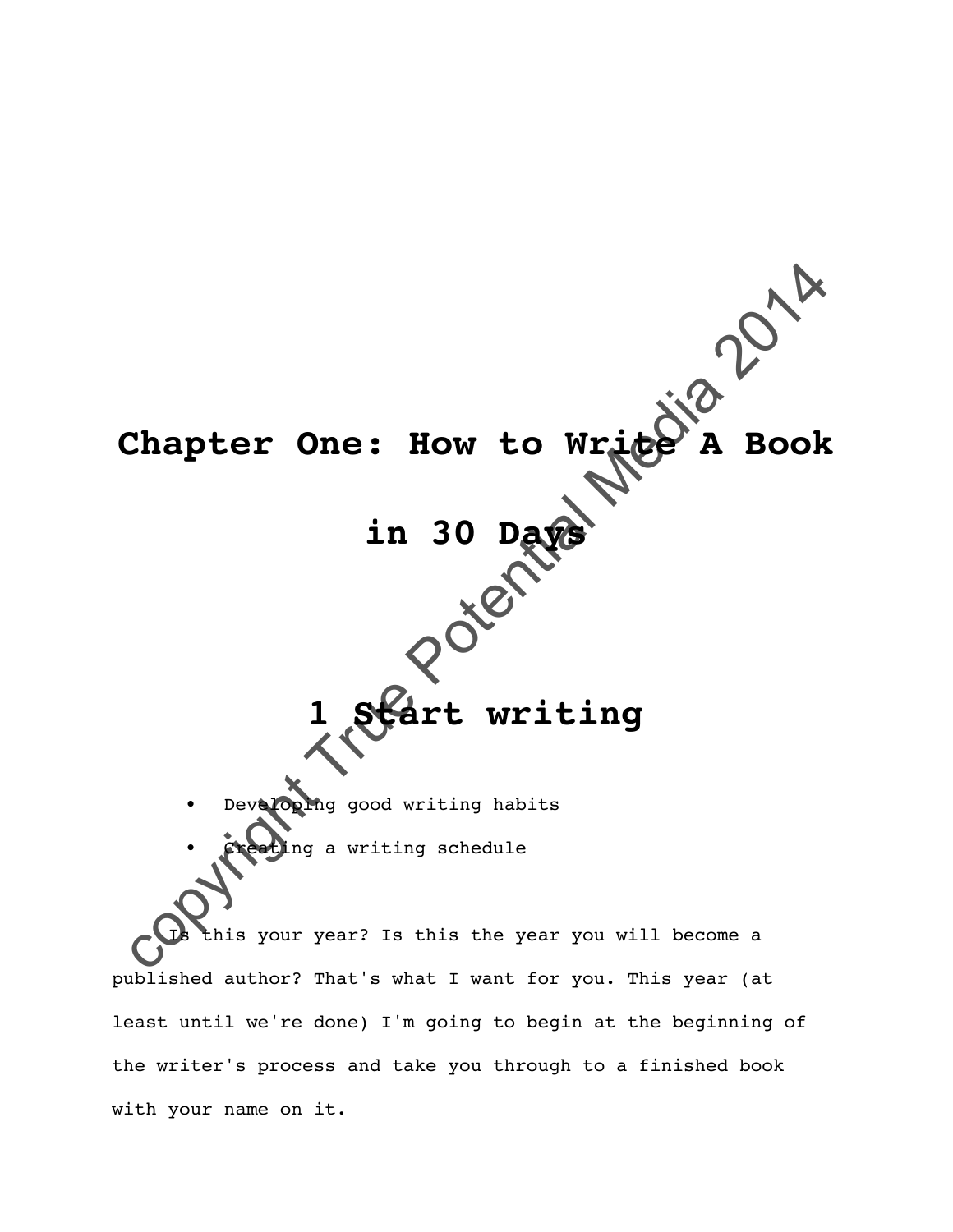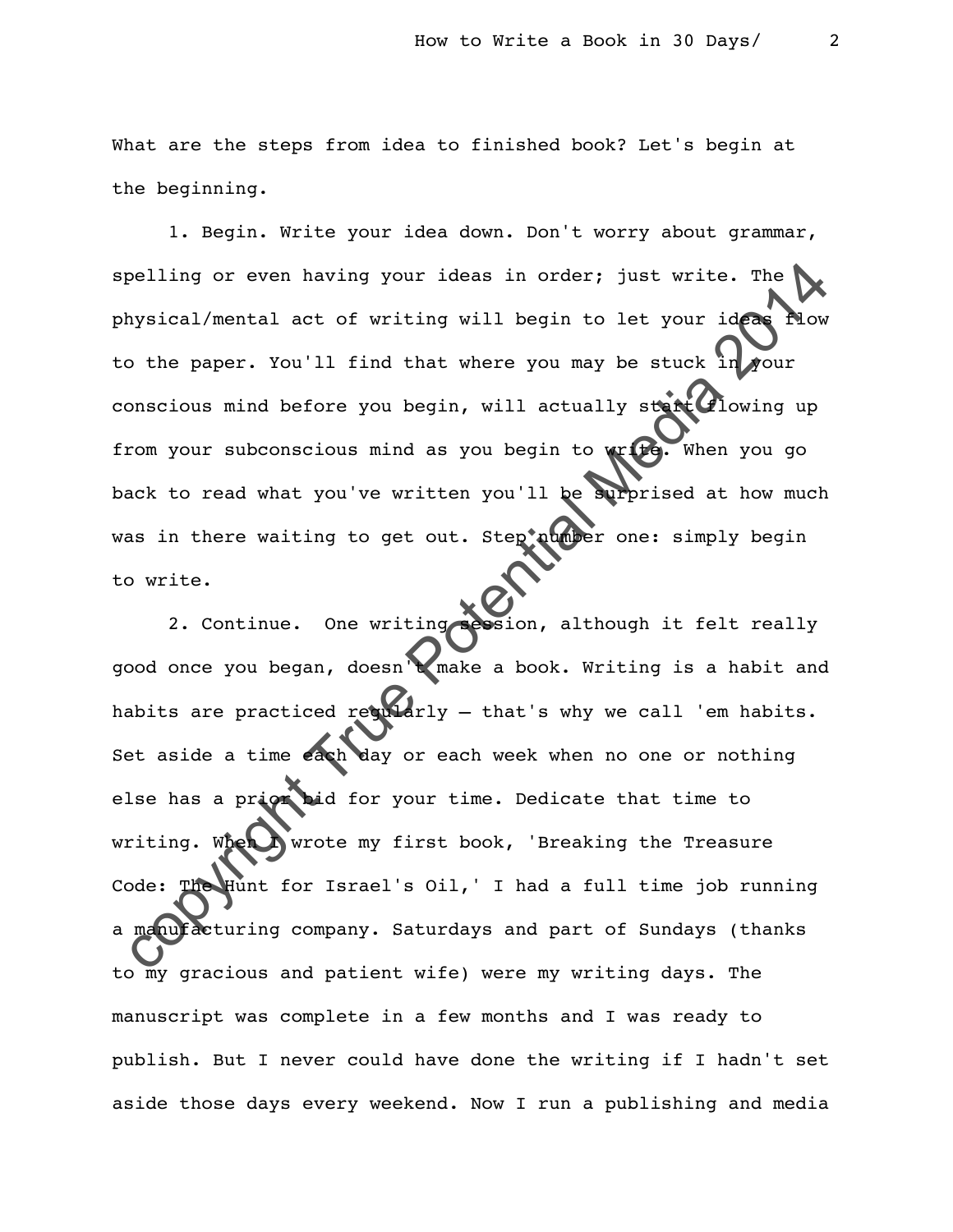What are the steps from idea to finished book? Let's begin at the beginning.

1. Begin. Write your idea down. Don't worry about grammar, spelling or even having your ideas in order; just write. The physical/mental act of writing will begin to let your ideas flow to the paper. You'll find that where you may be stuck in your conscious mind before you begin, will actually start flowing up from your subconscious mind as you begin to write. When you go back to read what you've written you'll be surprised at how much was in there waiting to get out. Step aunber one: simply begin to write.

colling or even having your ideas in order; just write. The<br>
mysical/mental act of writing will begin to let your ideas<br>
othe paper. You'll find that where you may be stuck in your<br>
onexious mind before you begin, will act 2. Continue. One writing session, although it felt really good once you began, doesn't make a book. Writing is a habit and habits are practiced requirily  $-$  that's why we call 'em habits. Set aside a time each day or each week when no one or nothing else has a prior bid for your time. Dedicate that time to writing. When I wrote my first book, 'Breaking the Treasure Code: The Hunt for Israel's Oil,' I had a full time job running a manufacturing company. Saturdays and part of Sundays (thanks to my gracious and patient wife) were my writing days. The manuscript was complete in a few months and I was ready to publish. But I never could have done the writing if I hadn't set aside those days every weekend. Now I run a publishing and media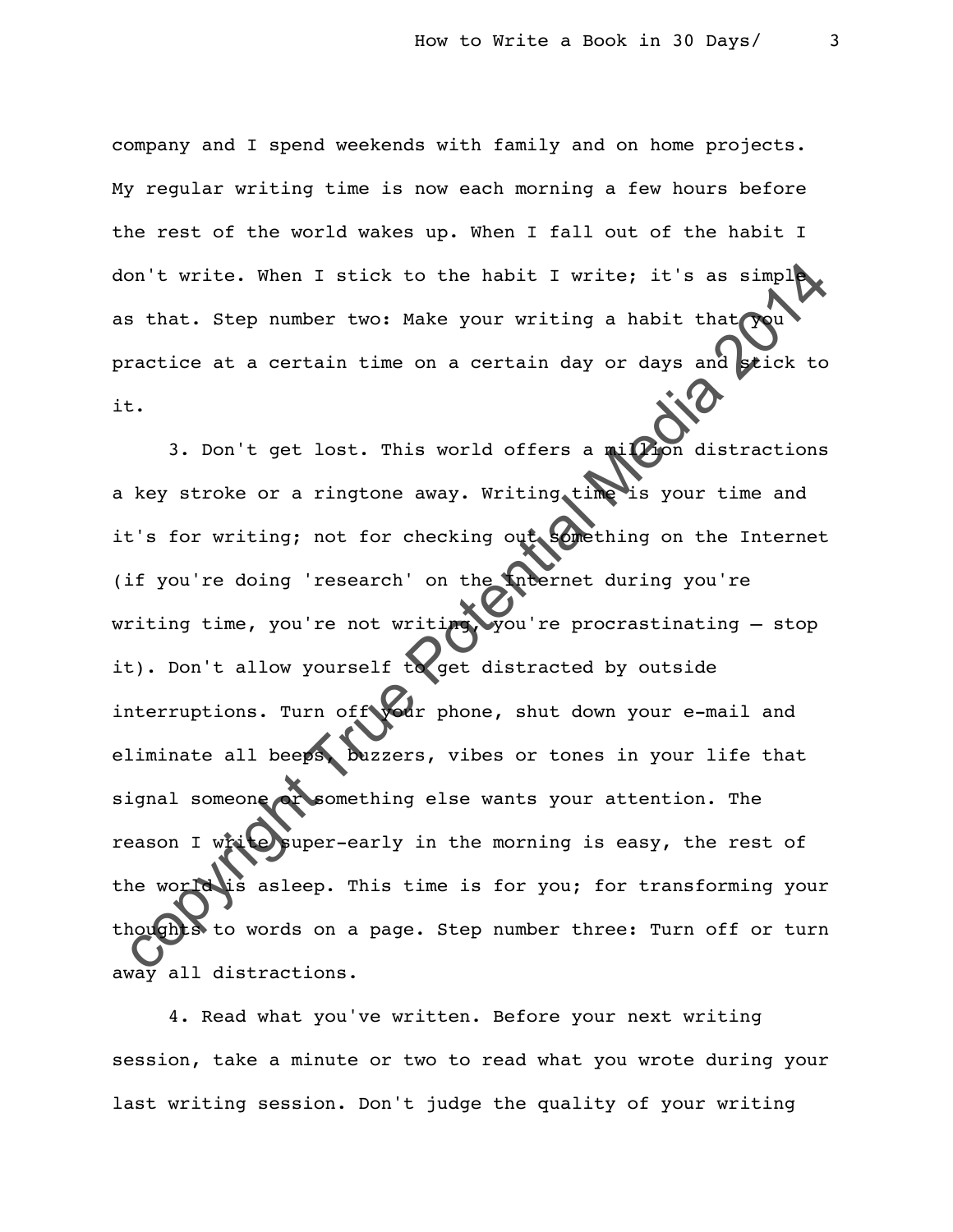company and I spend weekends with family and on home projects. My regular writing time is now each morning a few hours before the rest of the world wakes up. When I fall out of the habit I don't write. When I stick to the habit I write; it's as  $simpl$ as that. Step number two: Make your writing a habit that practice at a certain time on a certain day or days and stick to it.

compute the main of the main of the set of the set of the set of the set of the set of the set of the set of the set of the set of the set of the set of the set of the set of the set of the set of the set of the set of the 3. Don't get lost. This world offers a million distractions a key stroke or a ringtone away. Writing time is your time and it's for writing; not for checking out something on the Internet (if you're doing 'research' on the Internet during you're writing time, you're not writing, you're procrastinating - stop it). Don't allow yourself to get distracted by outside interruptions. Turn of twon'r phone, shut down your e-mail and eliminate all beeps, buzzers, vibes or tones in your life that signal someone or something else wants your attention. The reason I write super-early in the morning is easy, the rest of the world is asleep. This time is for you; for transforming your thoughts to words on a page. Step number three: Turn off or turn away all distractions.

4. Read what you've written. Before your next writing session, take a minute or two to read what you wrote during your last writing session. Don't judge the quality of your writing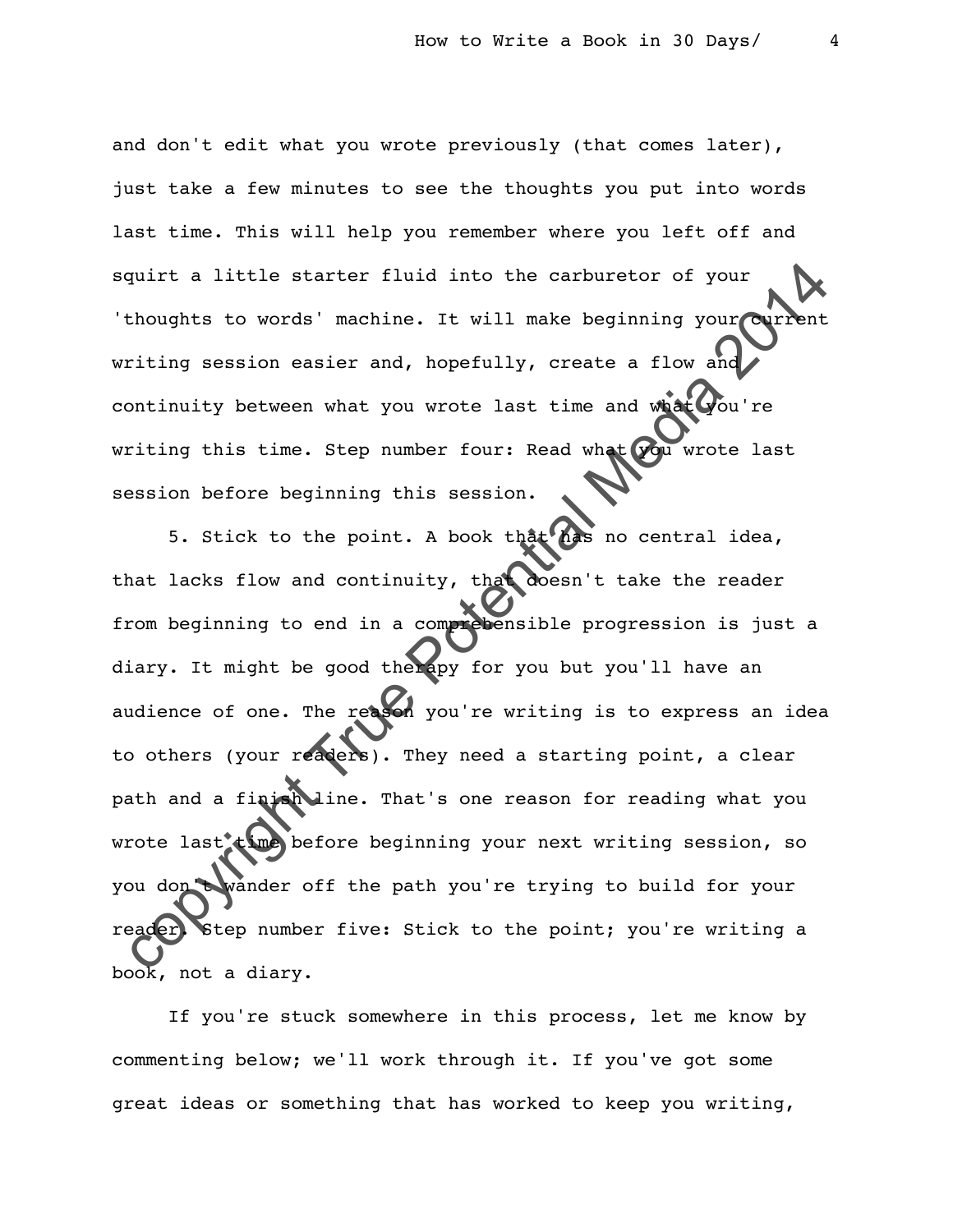and don't edit what you wrote previously (that comes later), just take a few minutes to see the thoughts you put into words last time. This will help you remember where you left off and squirt a little starter fluid into the carburetor of your 'thoughts to words' machine. It will make beginning your writing session easier and, hopefully, create a flow and continuity between what you wrote last time and what you're writing this time. Step number four: Read what you wrote last session before beginning this session.

quirt a little starter fluid into the carburetor of your<br>thoughts to words' machine. It will make beginning your Current<br>riting session easier and, hopefully, create a flow and<br>ontinuity between what you wrote last time an 5. Stick to the point. A book that has no central idea, that lacks flow and continuity, that doesn't take the reader from beginning to end in a comprehensible progression is just a diary. It might be good therapy for you but you'll have an audience of one. The reason you're writing is to express an idea to others (your readers). They need a starting point, a clear path and a finish line. That's one reason for reading what you wrote last time before beginning your next writing session, so you don't wander off the path you're trying to build for your reader. Step number five: Stick to the point; you're writing a book, not a diary.

If you're stuck somewhere in this process, let me know by commenting below; we'll work through it. If you've got some great ideas or something that has worked to keep you writing,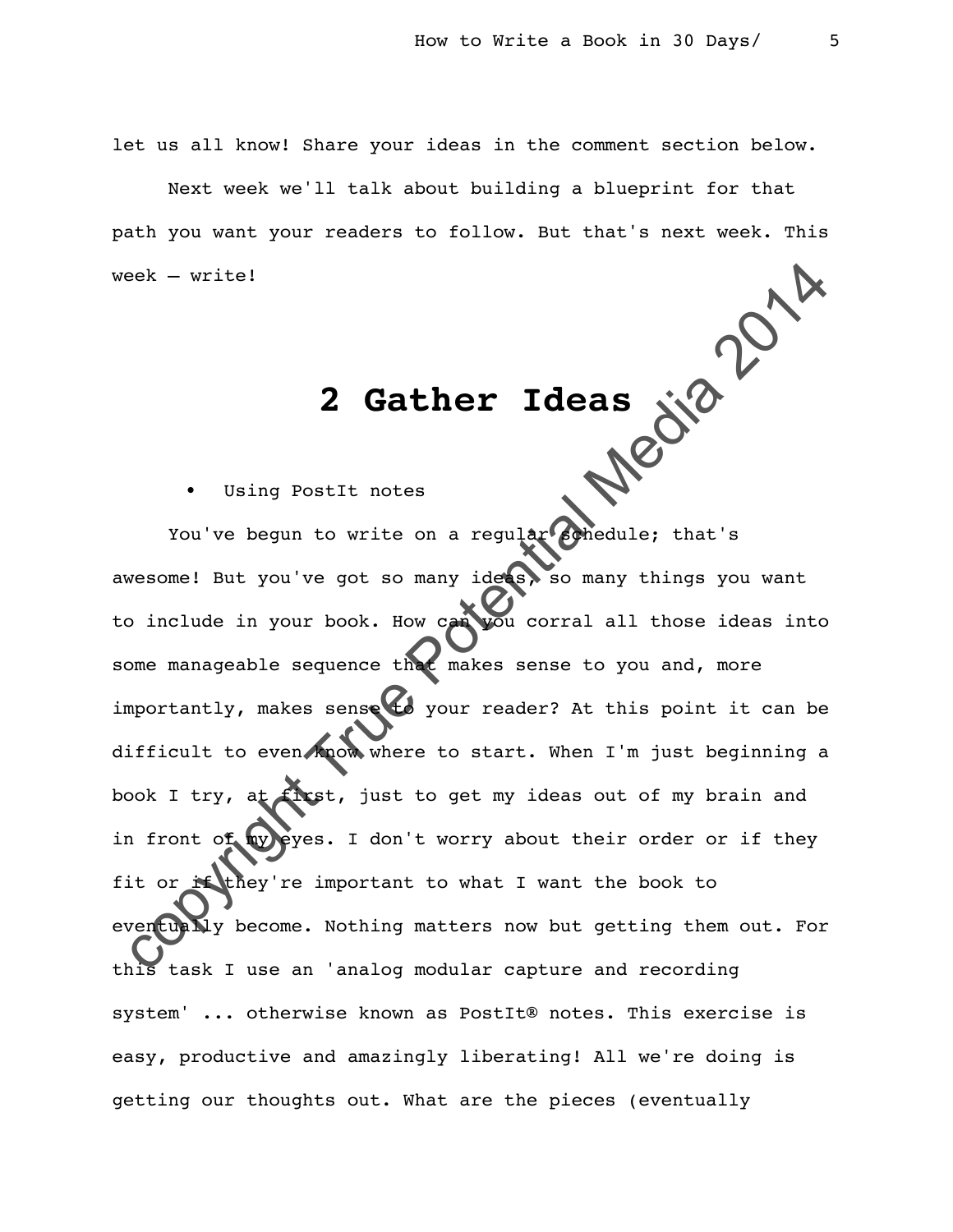let us all know! Share your ideas in the comment section below.

Next week we'll talk about building a blueprint for that path you want your readers to follow. But that's next week. This<br>week – write!<br> $2 \cdot 3$ week – write!

## **2 Gather Ideas**

Using PostIt notes

Example 2014 and the positions of the position of the position of the position of the position of the position of the position of the position of the position of the position of the position of the position of the positio You've begun to write on a regular schedule; that's awesome! But you've got so many ideas, so many things you want to include in your book. How can you corral all those ideas into some manageable sequence that makes sense to you and, more importantly, makes sense to your reader? At this point it can be difficult to even know where to start. When I'm just beginning a book I try, at first, just to get my ideas out of my brain and in front of my eyes. I don't worry about their order or if they fit or if they're important to what I want the book to eventually become. Nothing matters now but getting them out. For this task I use an 'analog modular capture and recording system' ... otherwise known as PostIt® notes. This exercise is easy, productive and amazingly liberating! All we're doing is getting our thoughts out. What are the pieces (eventually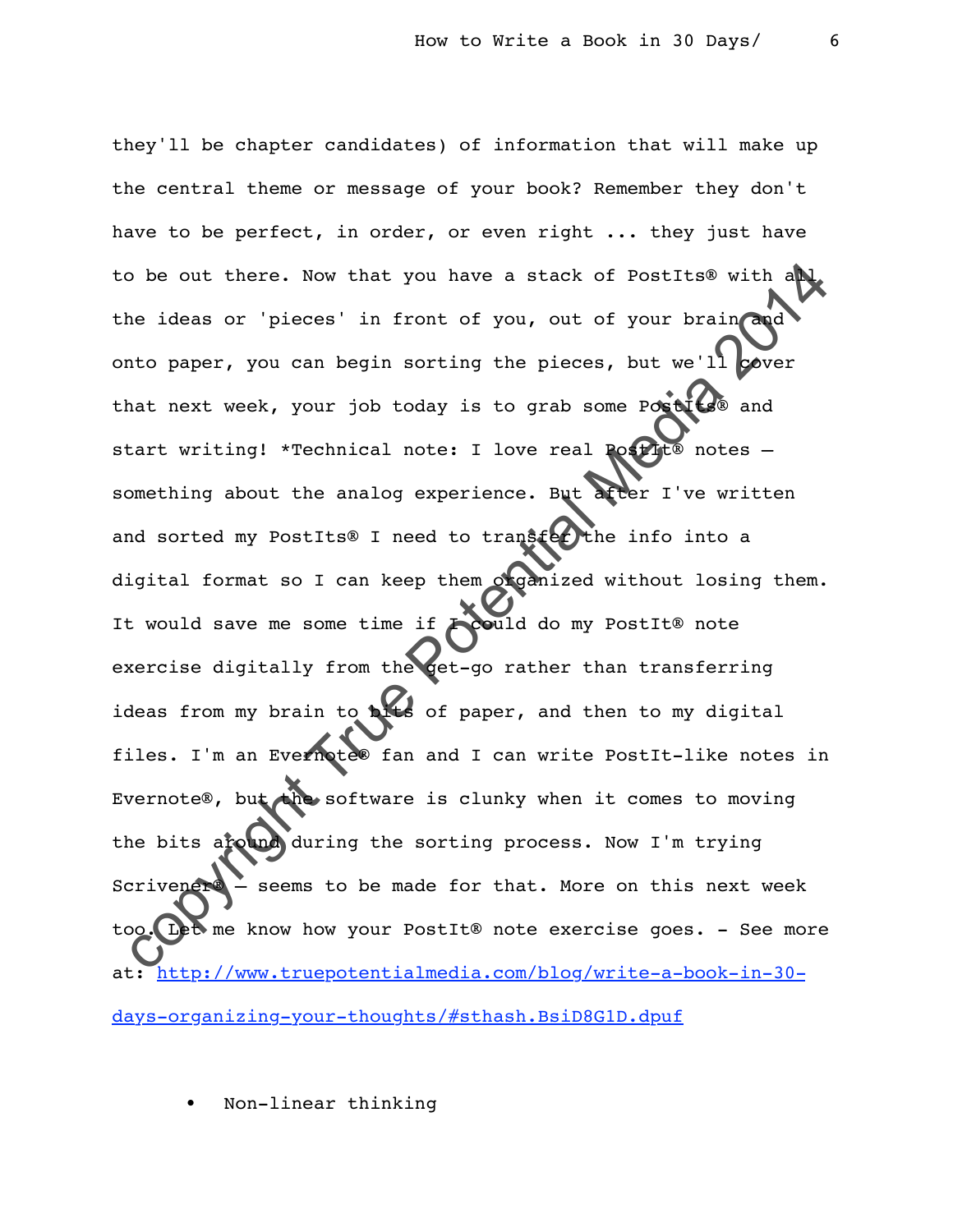so be out there. Now that you have a stack of PostIts® with and<br>ne ideas or 'pieces' in front of you, out of your brain and<br>nto paper, you can begin sorting the pieces, but we'll power<br>nat next week, your job today is to they'll be chapter candidates) of information that will make up the central theme or message of your book? Remember they don't have to be perfect, in order, or even right ... they just have to be out there. Now that you have a stack of PostIts® with all the ideas or 'pieces' in front of you, out of your brain and onto paper, you can begin sorting the pieces, but we'll cover that next week, your job today is to grab some Postits® and start writing! \*Technical note: I love real Postit® notes something about the analog experience. But after I've written and sorted my PostIts® I need to transfer the info into a digital format so I can keep them organized without losing them. It would save me some time if **I could do** my PostIt® note exercise digitally from the get-go rather than transferring ideas from my brain to bits of paper, and then to my digital files. I'm an Evernote® fan and I can write PostIt-like notes in Evernote®, but the software is clunky when it comes to moving the bits around during the sorting process. Now I'm trying Scrivener® – seems to be made for that. More on this next week too. Let me know how your PostIt® note exercise goes. - See more at: http://www.truepotentialmedia.com/blog/write-a-book-in-30 [days-organizing-your-thoughts/#sthash.BsiD8G1D.dpuf](http://www.truepotentialmedia.com/blog/write-a-book-in-30-days-organizing-your-thoughts/#sthash.BsiD8G1D.dpuf)

• Non-linear thinking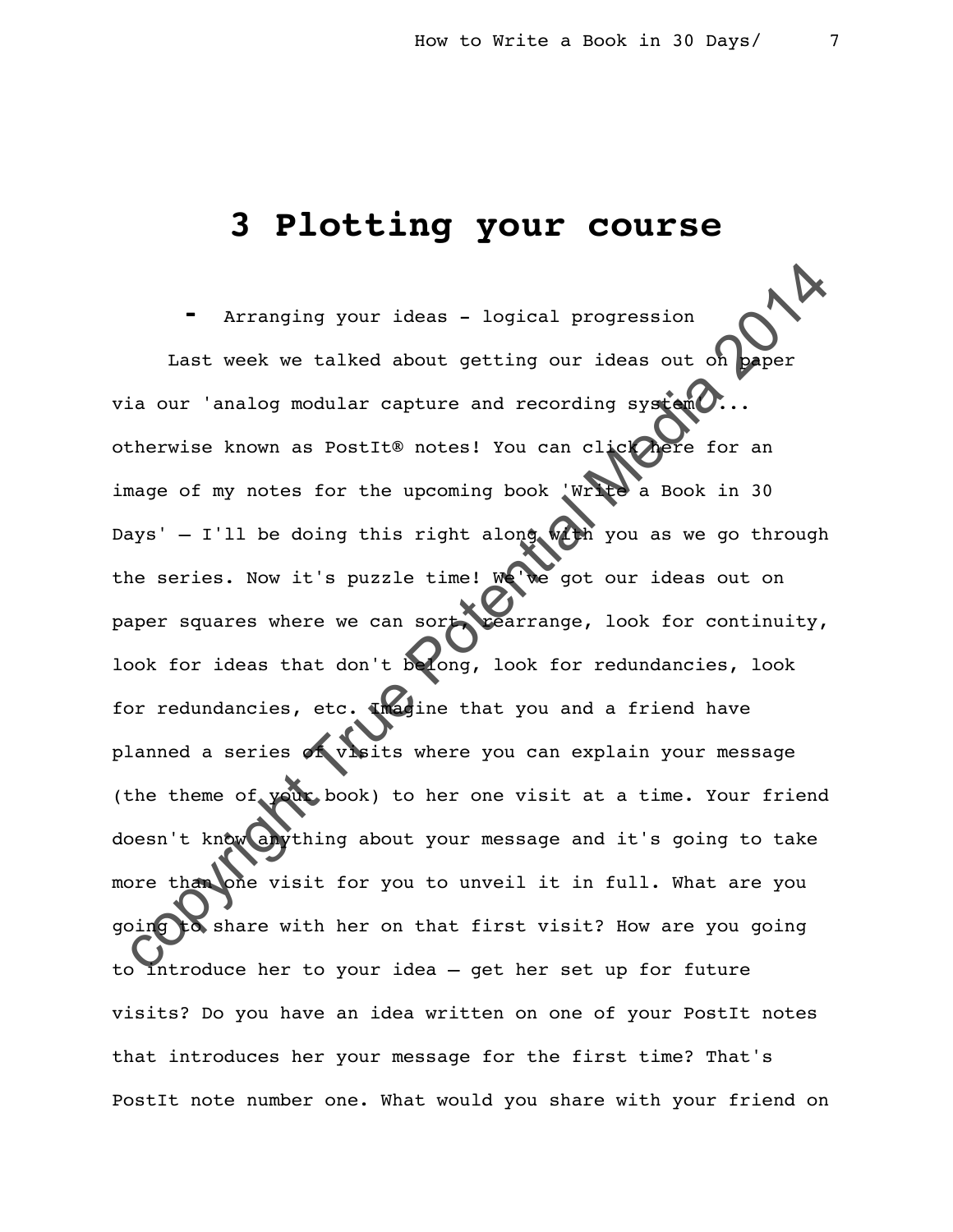## **3 Plotting your course**

For Arranging your ideas - logical progression<br>Last week we talked about getting our ideas out on paper<br>ia our 'analog modular capture and recording system...<br>therwise known as PostIt® notes! You can client of the abok in Arranging your ideas - logical progression Last week we talked about getting our ideas out on via our 'analog modular capture and recording system otherwise known as PostIt® notes! You can click here for an image of my notes for the upcoming book 'Write a Book in 30 Days' - I'll be doing this right along  $w$ th you as we go through the series. Now it's puzzle time! We've got our ideas out on paper squares where we can sort, rearrange, look for continuity, look for ideas that don't belong, look for redundancies, look for redundancies, etc. Imagine that you and a friend have planned a series of visits where you can explain your message (the theme of your book) to her one visit at a time. Your friend doesn't know anything about your message and it's going to take more than one visit for you to unveil it in full. What are you going to share with her on that first visit? How are you going to introduce her to your idea – get her set up for future visits? Do you have an idea written on one of your PostIt notes that introduces her your message for the first time? That's PostIt note number one. What would you share with your friend on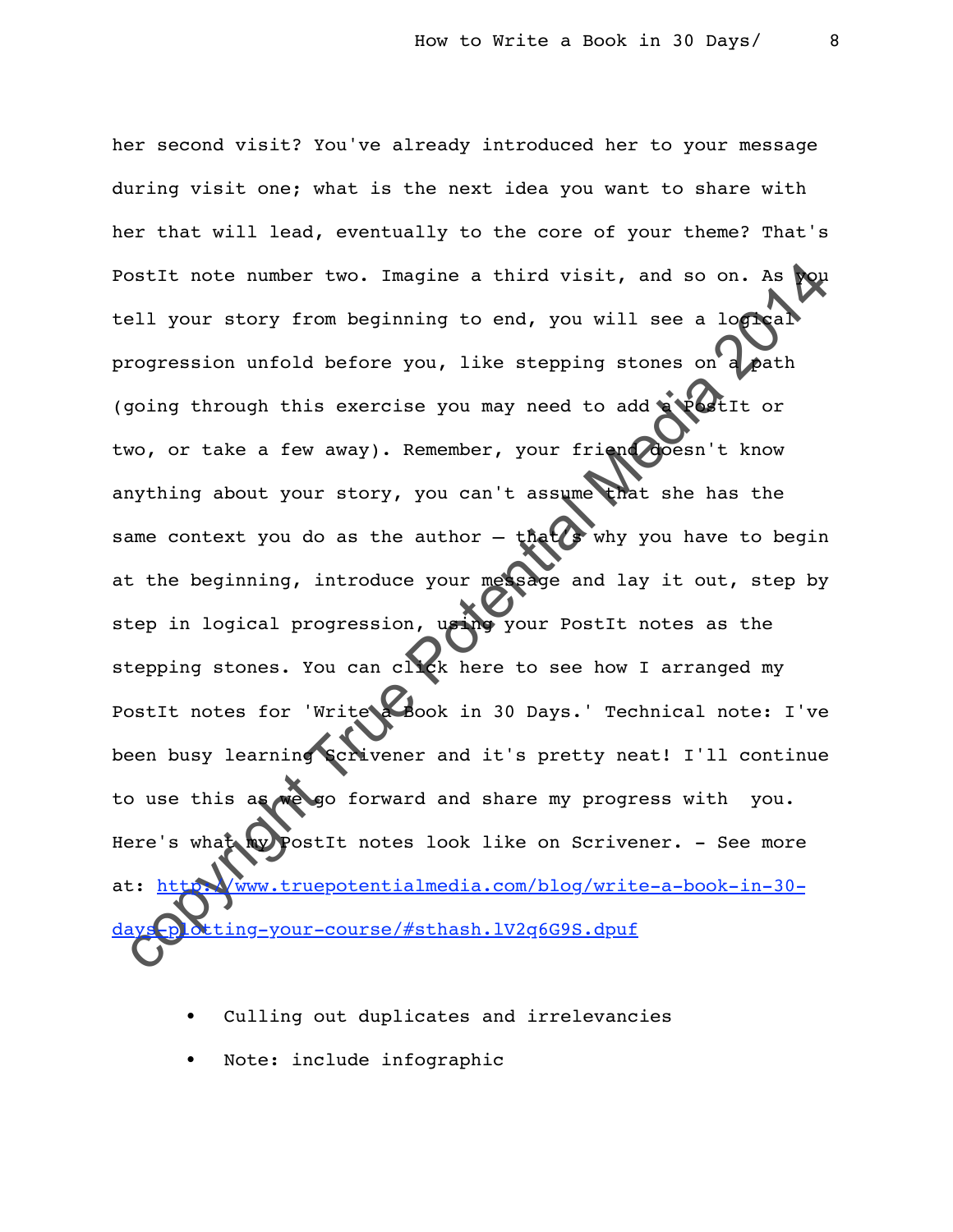Statt note number two. Imagine a third visit, and so on. As positive correction of the server is a local correction of the server is a local correction of the server is exercise you may need to additional media 2014 or wo, her second visit? You've already introduced her to your message during visit one; what is the next idea you want to share with her that will lead, eventually to the core of your theme? That's PostIt note number two. Imagine a third visit, and so on. As tell your story from beginning to end, you will see a logical progression unfold before you, like stepping stones on a path (going through this exercise you may need to add a PostIt or two, or take a few away). Remember, your friend doesn't know anything about your story, you can't assume that she has the same context you do as the author  $-$  that  $s$  why you have to begin at the beginning, introduce your message and lay it out, step by step in logical progression, using your PostIt notes as the stepping stones. You can click here to see how I arranged my PostIt notes for 'Write a Book in 30 Days.' Technical note: I've been busy learning Scrivener and it's pretty neat! I'll continue to use this as we go forward and share my progress with you. Here's what my PostIt notes look like on Scrivener. - See more at: http://www.truepotentialmedia.com/blog/write-a-book-in-30ting-your-course/#sthash.lV2q6G9S.dpuf

- Culling out duplicates and irrelevancies
- Note: include infographic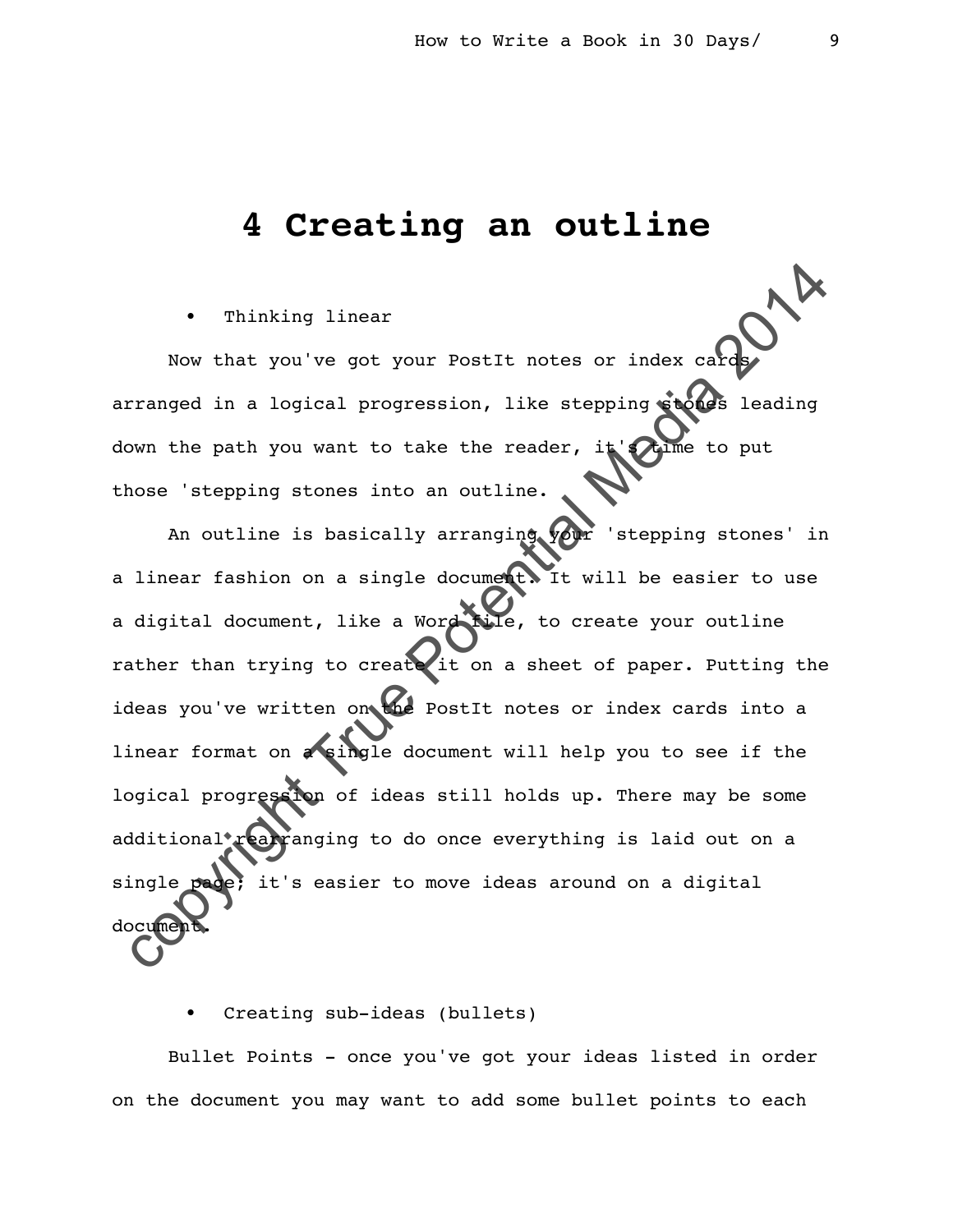## **4 Creating an outline**

Thinking linear

Now that you've got your PostIt notes or index card arranged in a logical progression, like stepping stones leading down the path you want to take the reader, it's time to put those 'stepping stones into an outline.

Computer of the same of the same of the same of the same of the same of the same of the potential media 2014 of the same of the potential media 2014 of the same of the potential media 2014 of the same first of the same of An outline is basically arranging your 'stepping stones' in a linear fashion on a single document. It will be easier to use a digital document, like a Word file, to create your outline rather than trying to create it on a sheet of paper. Putting the ideas you've written on the PostIt notes or index cards into a linear format on **a single document will help you to see if the** logical progression of ideas still holds up. There may be some additional rearranging to do once everything is laid out on a single page; it's easier to move ideas around on a digital docu

Creating sub-ideas (bullets)

Bullet Points - once you've got your ideas listed in order on the document you may want to add some bullet points to each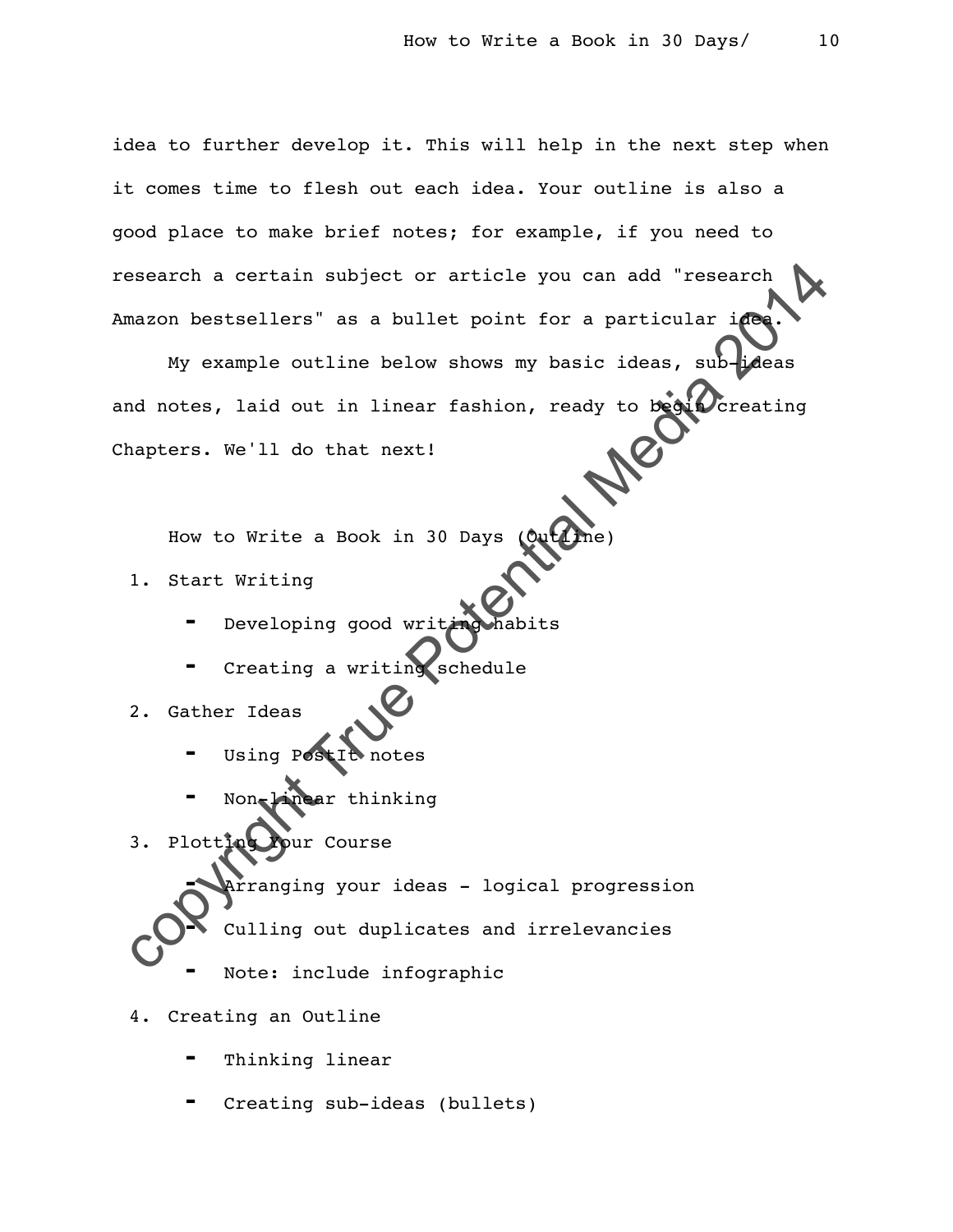idea to further develop it. This will help in the next step when it comes time to flesh out each idea. Your outline is also a good place to make brief notes; for example, if you need to research a certain subject or article you can add "research Amazon bestsellers" as a bullet point for a particular idea.

exact a certain subject or article you can add "research<br>
mazon bestsellers" as a bullet point for a particular in<br>
My example outline below shows my basic ideas, sub-places<br>
ad notes, laid out in linear fashion, ready to My example outline below shows my basic ideas, sub-ideas and notes, laid out in linear fashion, ready to begin creating Chapters. We'll do that next!

How to Write a Book in 30 Days

- 1. Start Writing
	- Developing good writi
	- Creating a writing schedule
- 2. Gather Ideas
	- Using PostIt notes
	- Non-linear thinking
- 3. Plotting Your Course
- ⁃ Arranging your ideas logical progression Culling out duplicates and irrelevancies
	- Note: include infographic

#### 4. Creating an Outline

- Thinking linear
- Creating sub-ideas (bullets)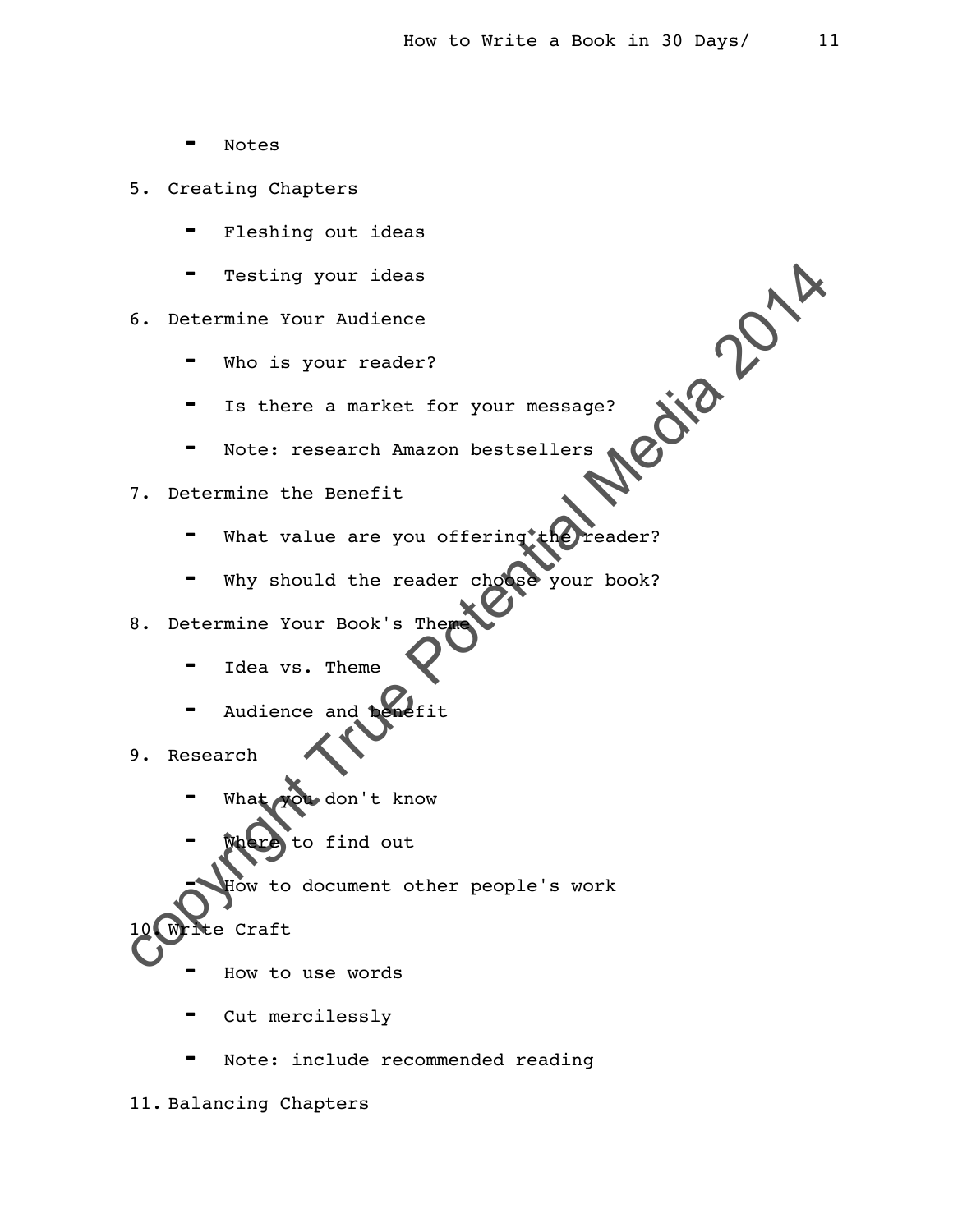- **Notes**
- 5. Creating Chapters
	- Fleshing out ideas
	- Testing your ideas

6. Determine Your Audience

- Who is your reader?
- Is there a market for your message?
- Note: research Amazon bestsellers

7. Determine the Benefit

- your reader?<br>
The there a market for your message?<br>
The Potential Media 2014<br>
Stermine the Benefit<br>
That value are you offering (Creader?<br>
The value of the reader choose your book?<br>
Stermine Your Book's Them<br>
The are strat What value are you offering
- Why should the reader cho
- 8. Determine Your Book's Theme
	- Idea vs. Theme
	- Audience and be
- 9. Research
	- ou don't know
	- to find out

to document other people's work

- Craft
	- How to use words
	- Cut mercilessly
	- Note: include recommended reading

11. Balancing Chapters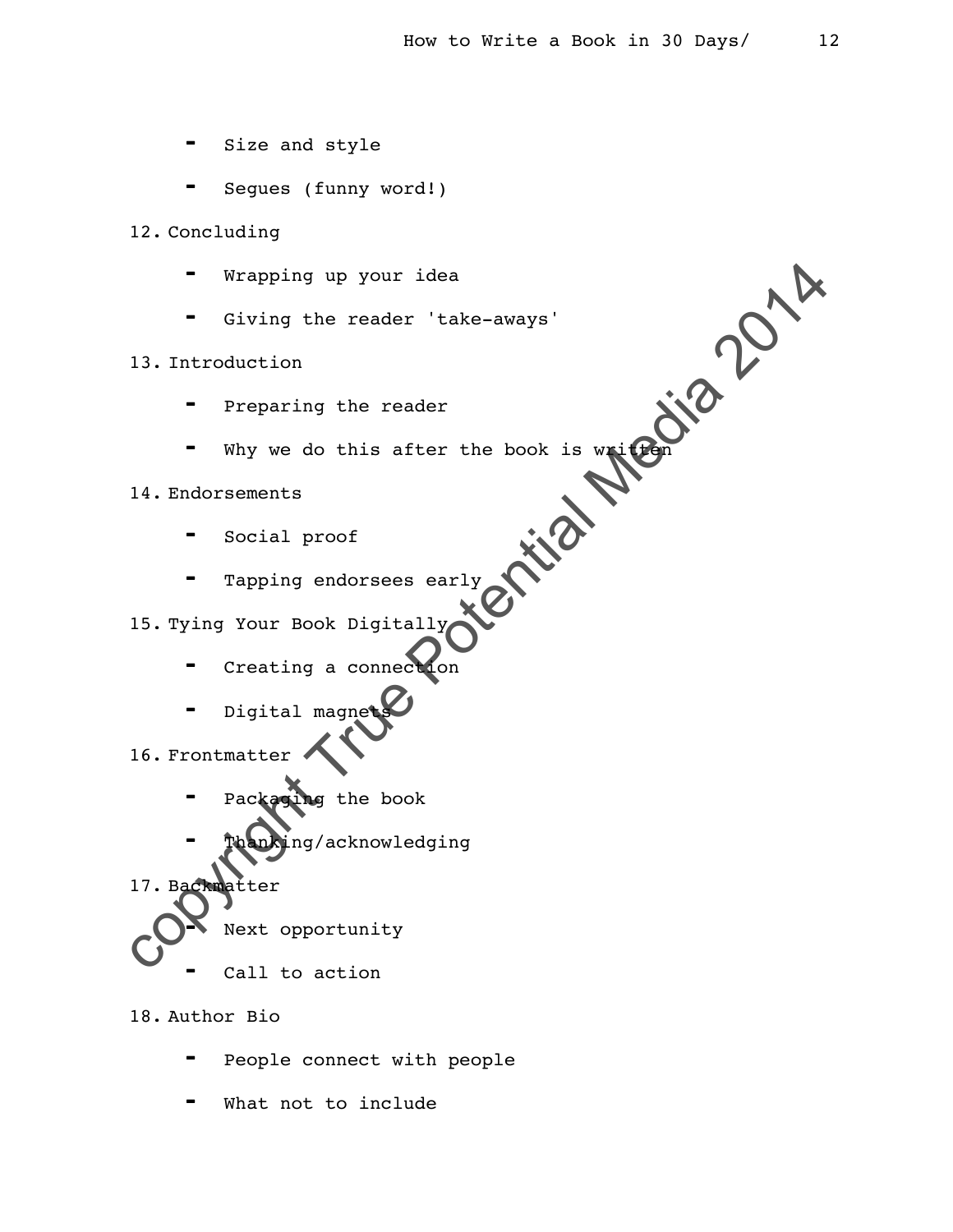- ⁃ Size and style
- Segues (funny word!)
- 12. Concluding
	-
	- ⁃ Giving the reader 'take-aways'

#### 13. Introduction

- ⁃ Preparing the reader
- ⁃ Why we do this after the book is written

14. Endorsements

- ⁃ Social proof
- ⁃ Tapping endorsees early

#### 15. Tying Your Book Digitally

- ⁃ Creating a connection
- Digital magne
- 16. Frontmatter
	- Packaging the book
	- .<br>ng/acknowledging
- Wrapping up your idea<br>
 Giving the reader 'take-aways'<br>
13. Introduction<br>
 Preparing the reader<br>
 Why we do this after the book is wellow<br>
14. Endorsements<br>
 Social proof<br>
 Tapping endorsese early<br>
15. Tying Your B 17. Backmatter Next opportunity
	- Call to action

18. Author Bio

- People connect with people
- What not to include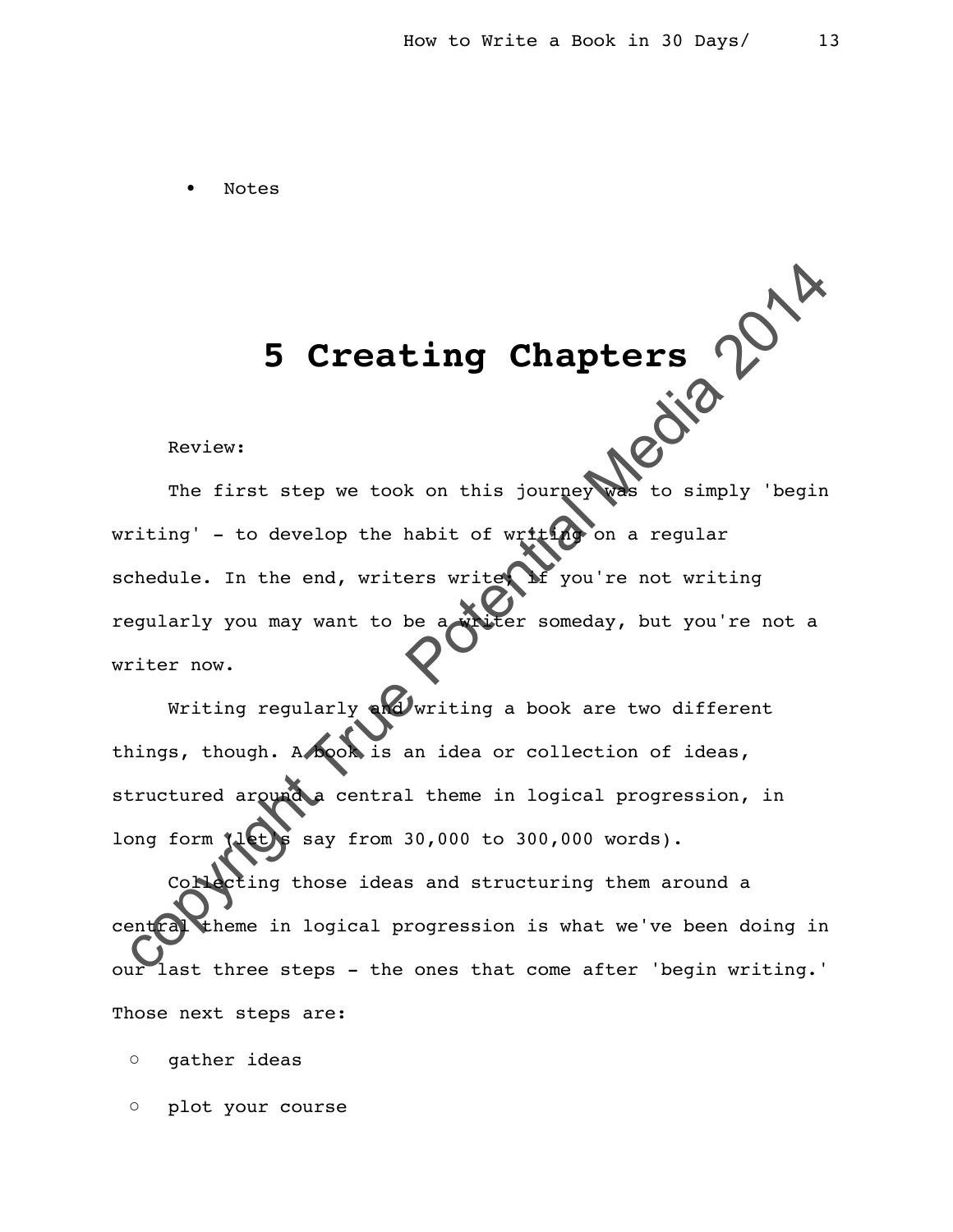• Notes

# **5 Creating Chapters**

Review:

5 Creating Chapters  $\sim$  Neview:<br>
Review:<br>
The first step we took on this journey was to simply 'begin<br>
riting' - to develop the habit of writted on a regular<br>
redule. In the end, writers writed you're not writing<br>
eqular The first step we took on this journey was to simply 'begin writing' - to develop the habit of writing on a regular schedule. In the end, writers write  $\Omega$  you're not writing regularly you may want to be a writer someday, but you're not a writer now.

Writing regularly and writing a book are two different things, though. A book is an idea or collection of ideas, structured around a central theme in logical progression, in long form (let)s say from 30,000 to 300,000 words).

Collecting those ideas and structuring them around a theme in logical progression is what we've been doing in our last three steps - the ones that come after 'begin writing.' Those next steps are:

◦ gather ideas

◦ plot your course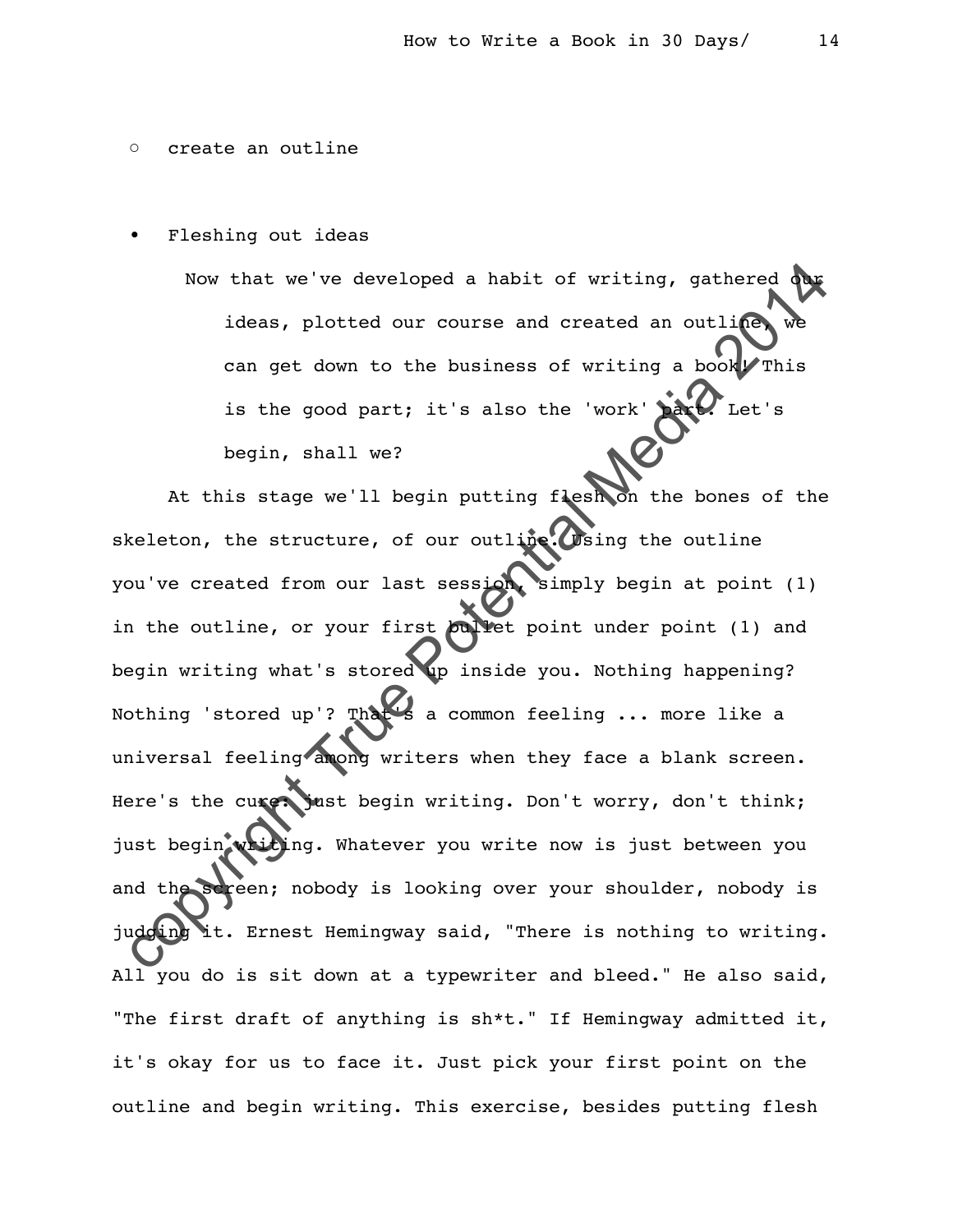#### ◦ create an outline

• Fleshing out ideas

Now that we've developed a habit of writing, gathered ideas, plotted our course and created an outline can get down to the business of writing a book This is the good part; it's also the 'work' begin, shall we?

Now that we've developed a habit of writing, gathered due<br>ideas, plotted our course and created an outling we<br>can get down to the business of writing a book. This<br>is the good part; it's also the 'work'  $\sum_{\text{begin}}$  Let's<br>beg At this stage we'll begin putting flesh on the bones of the skeleton, the structure, of our outline. Using the outline you've created from our last session, simply begin at point (1) in the outline, or your first bullet point under point (1) and begin writing what's stored up inside you. Nothing happening? Nothing 'stored up'? That's a common feeling ... more like a universal feeling among writers when they face a blank screen. Here's the cure: just begin writing. Don't worry, don't think; just begin writing. Whatever you write now is just between you and the screen; nobody is looking over your shoulder, nobody is judging it. Ernest Hemingway said, "There is nothing to writing. All you do is sit down at a typewriter and bleed." He also said, "The first draft of anything is sh\*t." If Hemingway admitted it, it's okay for us to face it. Just pick your first point on the outline and begin writing. This exercise, besides putting flesh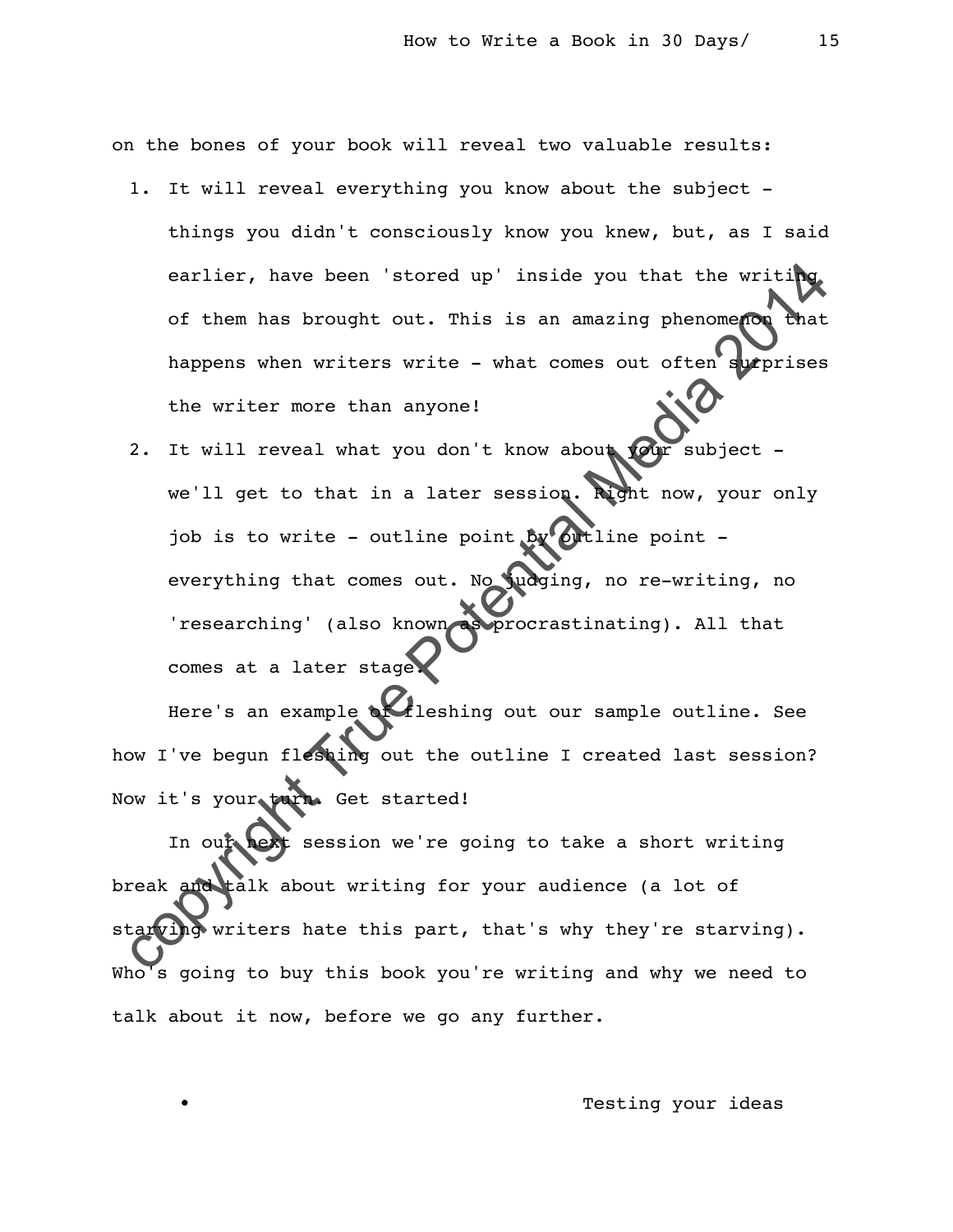on the bones of your book will reveal two valuable results:

- 1. It will reveal everything you know about the subject things you didn't consciously know you knew, but, as I said earlier, have been 'stored up' inside you that the writing of them has brought out. This is an amazing phenomenon that happens when writers write - what comes out often surprises the writer more than anyone!
- earlier, have been 'stored up' inside you that the writing<br>of them has brought out. This is an amazing phenomenon<br>the writer more than anyone!<br>2. It will reveal what you don't know about<br>we'll get to that in a later sessi 2. It will reveal what you don't know about your subject we'll get to that in a later session. Right now, your only job is to write - outline point  $by$  outline point everything that comes out. No judging, no re-writing, no 'researching' (also known as procrastinating). All that comes at a later stage.

Here's an example *deleating out our sample outline.* See how I've begun fleshing out the outline I created last session? Now it's your turn. Get started!

In our hext session we're going to take a short writing break and talk about writing for your audience (a lot of starving writers hate this part, that's why they're starving). Who's going to buy this book you're writing and why we need to talk about it now, before we go any further.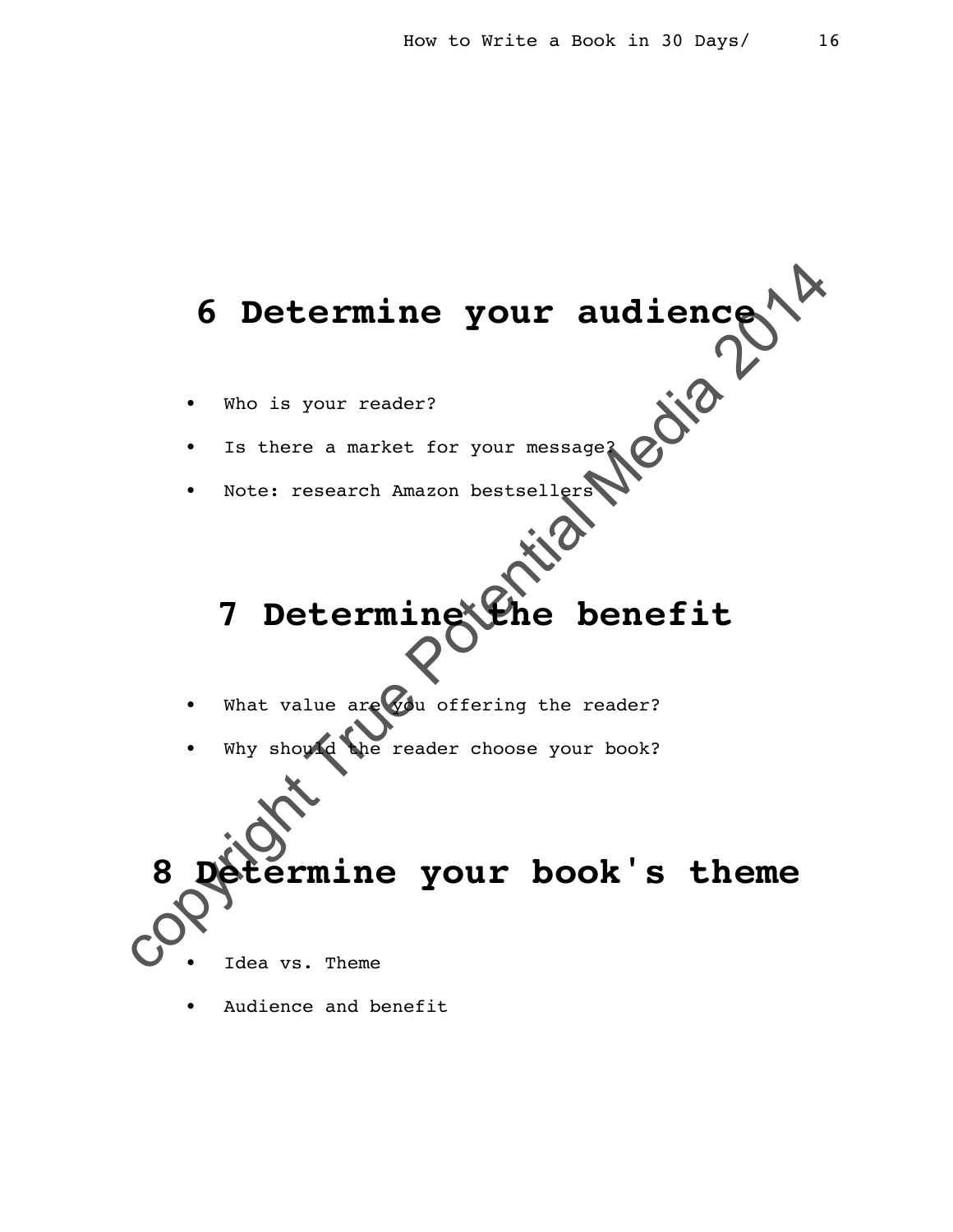# **6 Determine your audience**

- Who is your reader?
- Is there a market for your message?
- Note: research Amazon bestsellers

# **7 Determine the benefit**

- What value are  $\sqrt{2}$  offering the reader?
- Why should the reader choose your book?

6 Determine your audience **8 Exmine your book's theme** 

- Idea vs. Theme
- Audience and benefit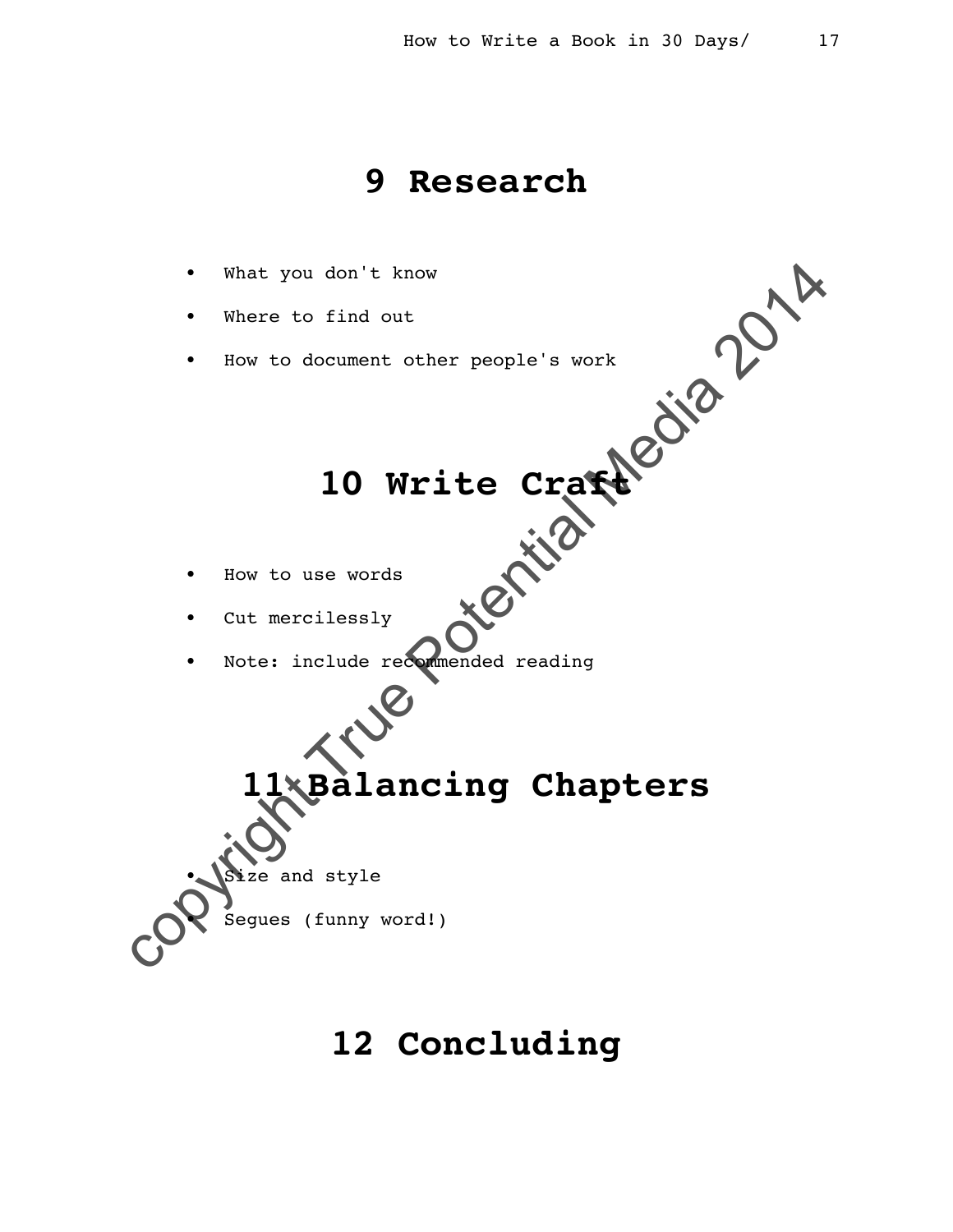#### **9 Research**



## **12 Concluding**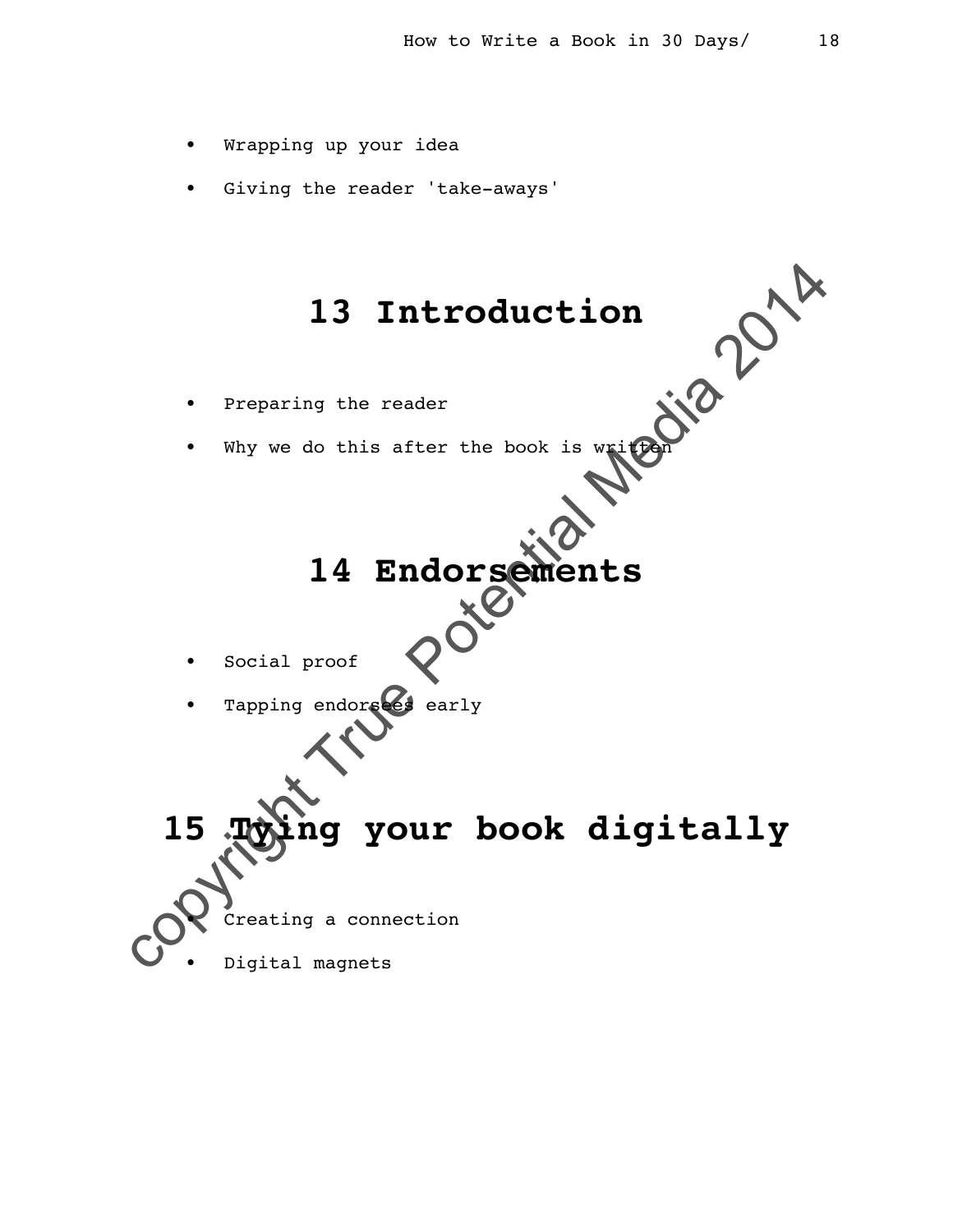- Wrapping up your idea
- Giving the reader 'take-aways'

## **13 Introduction**

- Preparing the reader
- Why we do this after the book is written

# **14 Endorsements**

- Social proof
- Tapping endorsees early

13 Introduction<br>  $\cdot$  Preparing the reader<br>  $\cdot$  Why we do this after the book is with the  $\frac{1}{4}$ <br>
14 Endorsements<br>  $\cdot$  Social proof<br>  $\cdot$  Tapping endorses<br>  $\cdot$  Tapping your book digitally<br>
15 Tapping your book digit **15 Tying your book digitally** • Creating a connection

Digital magnets